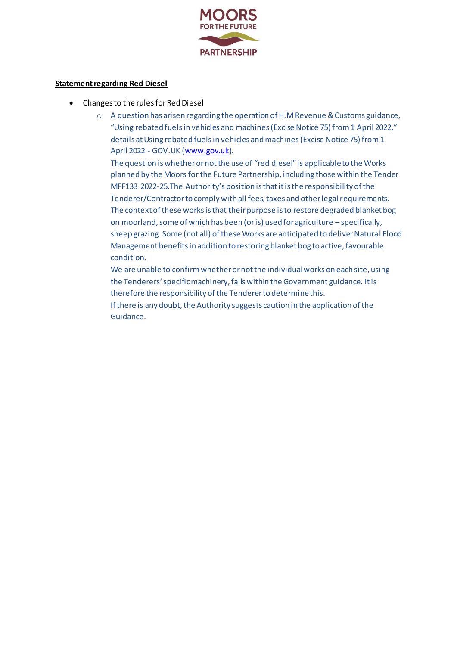

## **Statement regarding Red Diesel**

- Changes to the rules for Red Diesel
	- o A question has arisen regarding the operation of H.M Revenue & Customs guidance, "Using rebated fuels in vehicles and machines (Excise Notice 75) from 1 April 2022," details at Using rebated fuels in vehicles and machines (Excise Notice 75) from 1 April 2022 - GOV.UK [\(www.gov.uk](http://www.gov.uk/)).

The question is whether or not the use of "red diesel" is applicable to the Works planned by the Moors for the Future Partnership, including those within the Tender MFF133 2022-25.The Authority's position is that it is the responsibility of the Tenderer/Contractor to comply with all fees, taxes and other legal requirements. The context of these works is that their purpose is to restore degraded blanket bog on moorland, some of which has been (or is) used for agriculture – specifically, sheep grazing. Some (not all) of these Works are anticipated to deliver Natural Flood Management benefits in addition to restoring blanket bog to active, favourable condition.

We are unable to confirm whether or not the individual works on each site, using the Tenderers' specific machinery, falls within the Government guidance. It is therefore the responsibility of the Tenderer to determine this.

If there is any doubt, the Authority suggests caution in the application of the Guidance.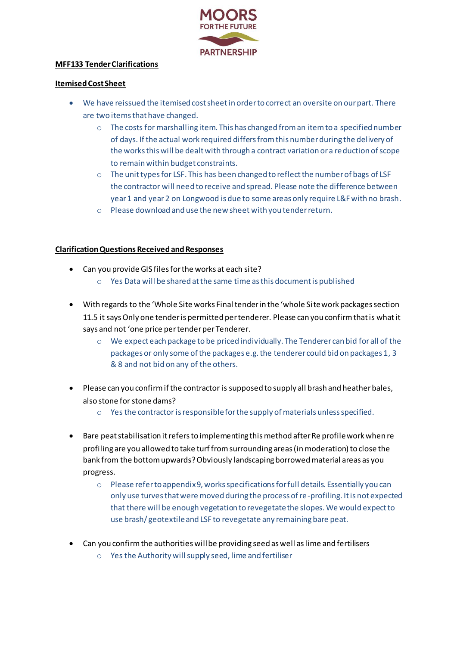

## **MFF133 Tender Clarifications**

## **Itemised Cost Sheet**

- We have reissued the itemised cost sheet in order to correct an oversite on our part. There are two items that have changed.
	- $\circ$  The costs for marshalling item. This has changed from an item to a specified number of days. If the actual work required differs from this number during the delivery of the works this will be dealt with through a contract variation or a reduction of scope to remain within budget constraints.
	- $\circ$  The unit types for LSF. This has been changed to reflect the number of bags of LSF the contractor will need to receive and spread. Please note the difference between year 1 and year 2 on Longwood is due to some areas only require L&F with no brash.
	- o Please download and use the new sheet with you tender return.

## **Clarification Questions Received and Responses**

- Can you provide GIS files for the works at each site?
	- o Yes Data will be shared at the same time as this document is published
- With regards to the 'Whole Site works Final tender in the 'whole Site work packages section 11.5 it says Only one tender is permitted per tenderer. Please can you confirm that is what it says and not 'one price per tender per Tenderer.
	- $\circ$  We expect each package to be priced individually. The Tenderer can bid for all of the packages or only some of the packages e.g. the tenderer could bid on packages 1, 3 & 8 and not bid on any of the others.
- Please can you confirm if the contractor is supposed to supply all brash and heather bales, also stone for stone dams?
	- $\circ$  Yes the contractor is responsible for the supply of materials unless specified.
- Bare peat stabilisation it refers to implementing this method after Re profile work when re profiling are you allowed to take turf from surrounding areas (in moderation) to close the bank from the bottom upwards? Obviously landscaping borrowed material areas as you progress.
	- $\circ$  Please refer to appendix 9, works specifications for full details. Essentially you can only use turves that were moved during the process of re-profiling. It is not expected that there will be enough vegetation to revegetate the slopes. We would expect to use brash/ geotextile and LSF to revegetate any remaining bare peat.
- Can you confirm the authorities will be providing seed as well as lime and fertilisers
	- o Yes the Authority will supply seed, lime and fertiliser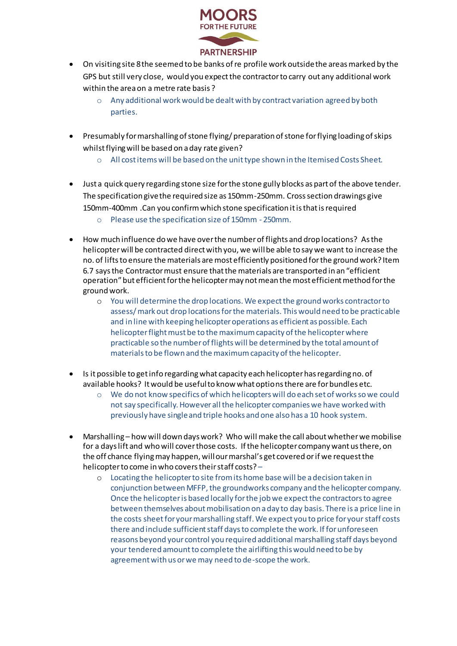

- On visiting site 8 the seemed to be banks of re profile work outside the areas marked by the GPS but still very close, would you expect the contractor to carry out any additional work within the area on a metre rate basis ?
	- o Any additional work would be dealt with by contract variation agreed by both parties.
- Presumably for marshalling of stone flying/ preparation of stone for flying loading of skips whilst flying will be based on a day rate given?
	- $\circ$  All cost items will be based on the unit type shown in the Itemised Costs Sheet.
- Just a quick query regarding stone size for the stone gully blocks as part of the above tender. The specification give the required size as 150mm-250mm. Cross section drawings give 150mm-400mm .Can you confirm which stone specification it is that is required
	- o Please use the specification size of 150mm 250mm.
- How much influence do we have over the number of flights and drop locations? As the helicopter will be contracted direct with you, we will be able to say we want to increase the no. of lifts to ensure the materials are most efficiently positioned for the ground work? Item 6.7 says the Contractor must ensure that the materials are transported in an "efficient operation" but efficient for the helicopter may not mean the most efficient method for the ground work.
	- o You will determine the drop locations. We expect the ground works contractor to assess/ mark out drop locations for the materials. This would need to be practicable and in line with keeping helicopter operations as efficient as possible. Each helicopter flight must be to the maximum capacity of the helicopter where practicable so the number of flights will be determined by the total amount of materials to be flown and the maximum capacity of the helicopter.
- Is it possible to get info regarding what capacity each helicopter has regarding no. of available hooks? It would be useful to know what options there are for bundles etc.
	- o We do not know specifics of which helicopters will do each set of works so we could not say specifically. However all the helicopter companies we have worked with previously have single and triple hooks and one also has a 10 hook system.
- Marshalling how will down days work? Who will make the call about whether we mobilise for a days lift and who will cover those costs. If the helicopter company want us there, on the off chance flying may happen, will our marshal's get covered or if we request the helicopter to come in who covers their staff costs? –
	- o Locating the helicopter to site from its home base will be a decision taken in conjunction between MFFP, the groundworks company and the helicopter company. Once the helicopter is based locally for the job we expect the contractors to agree between themselves about mobilisation on a day to day basis. There is a price line in the costs sheet for your marshalling staff. We expect you to price for your staff costs there and include sufficient staff days to complete the work. If for unforeseen reasons beyond your control you required additional marshalling staff days beyond your tendered amount to complete the airlifting this would need to be by agreement with us or we may need to de-scope the work.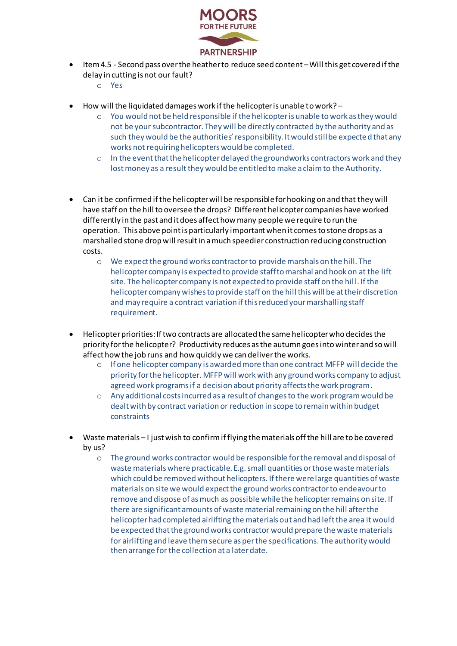

- Item 4.5 Second pass over the heather to reduce seed content –Will this get covered if the delay in cutting is not our fault?
	- o Yes
- $\bullet$  How will the liquidated damages work if the helicopter is unable to work?
	- o You would not be held responsible if the helicopter is unable to work as they would not be your subcontractor. They will be directly contracted by the authority and as such they would be the authorities' responsibility. It would still be expected that any works not requiring helicopters would be completed.
	- $\circ$  In the event that the helicopter delayed the groundworks contractors work and they lost money as a result they would be entitled tomake a claim to the Authority.
- Can it be confirmed if the helicopter will be responsible for hooking on and that they will have staff on the hill to oversee the drops? Different helicopter companies have worked differently in the past and it does affect how many people we require to run the operation. This above point is particularly important when it comes to stone drops as a marshalled stone drop will result in a much speedier construction reducing construction costs.
	- o We expect the ground works contractor to provide marshals on the hill. The helicopter company is expected to provide staff to marshal and hook on at the lift site. The helicopter company is not expected to provide staff on the hil l. If the helicopter company wishes to provide staff on the hill this will be at their discretion and may require a contract variation if this reduced your marshalling staff requirement.
- Helicopter priorities: If two contracts are allocated the same helicopter who decides the priority for the helicopter? Productivity reduces as the autumn goes into winter and so will affect how the job runs and how quickly we can deliver the works.
	- o If one helicopter company is awarded more than one contract MFFP will decide the priority for the helicopter. MFFP will work with any ground works company to adjust agreed work programs if a decision about priority affects the work program.
	- $\circ$  Any additional costs incurred as a result of changes to the work program would be dealt with by contract variation or reduction in scope to remain within budget constraints
- Waste materials I just wish to confirm if flying the materials off the hill are to be covered by us?
	- o The ground works contractor would be responsible for the removal and disposal of waste materials where practicable. E.g. small quantities or those waste materials which could be removed without helicopters. If there were large quantities of waste materials on site we would expect the ground works contractor to endeavour to remove and dispose of as much as possible while the helicopter remains on site. If there are significant amounts of waste material remaining on the hill after the helicopter had completed airlifting the materials out and had left the area it would be expected that the ground works contractor would prepare the waste materials for airlifting and leave them secure as per the specifications. The authority would then arrange for the collection at a later date.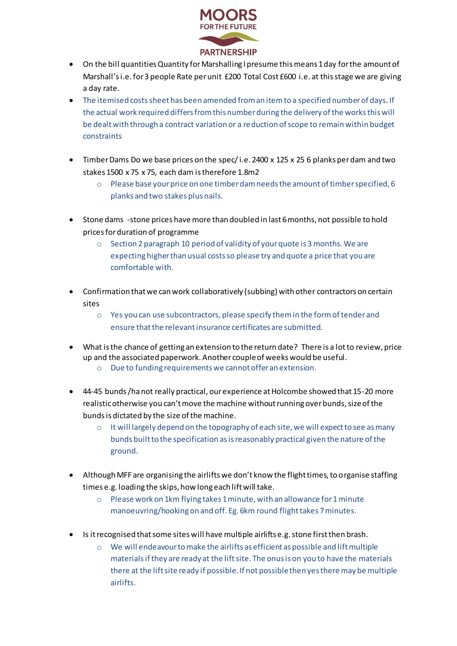

- On the bill quantities Quantity for Marshalling I presume this means 1 day for the amount of Marshall's i.e. for 3 people Rate per unit £200 Total Cost £600 i.e. at this stage we are giving a day rate.
- The itemised costs sheet has been amended from an item to a specified number of days. If the actual work required differs from this number during the delivery of the works this will be dealt with through a contract variation or a reduction of scope to remain within budget constraints
- Timber Dams Do we base prices on the spec/ i.e. 2400 x 125 x 25 6 planks per dam and two stakes 1500 x 75 x 75, each dam is therefore 1.8m2
	- $\circ$  Please base your price on one timber dam needs the amount of timber specified, 6 planks and two stakes plus nails.
- Stone dams -stone prices have more than doubled in last 6 months, not possible to hold prices for duration of programme
	- o Section 2 paragraph 10 period of validity of your quote is 3 months. We are expecting higher than usual costs so please try and quote a price that you are comfortable with.
- Confirmation that we can work collaboratively (subbing) with other contractors on certain sites
	- o Yes you can use subcontractors, please specify them in the form of tender and ensure that the relevant insurance certificates are submitted.
- What is the chance of getting an extension to the return date? There is a lot to review, price up and the associated paperwork. Another couple of weeks would be useful.
	- o Due to funding requirements we cannot offer an extension.
- 44-45 bunds /ha not really practical, our experience at Holcombe showed that 15-20 more realistic otherwise you can't move the machine without running over bunds, size of the bunds is dictated by the size of the machine.
	- $\circ$  It will largely depend on the topography of each site, we will expect to see as many bunds built to the specification as is reasonably practical given the nature of the ground.
- Although MFF are organising the airlifts we don't know the flight times, to organise staffing times e.g. loading the skips, how long each lift will take.
	- o Please work on 1km flying takes 1 minute, with an allowance for 1 minute manoeuvring/hooking on and off. Eg. 6km round flight takes 7 minutes.
- Is it recognised that some sites will have multiple airlifts e.g. stone first then brash.
	- $\circ$  We will endeavour to make the airlifts as efficient as possible and lift multiple materials if they are ready at the lift site. The onus is on you to have the materials there at the lift site ready if possible. If not possible then yes there may be multiple airlifts.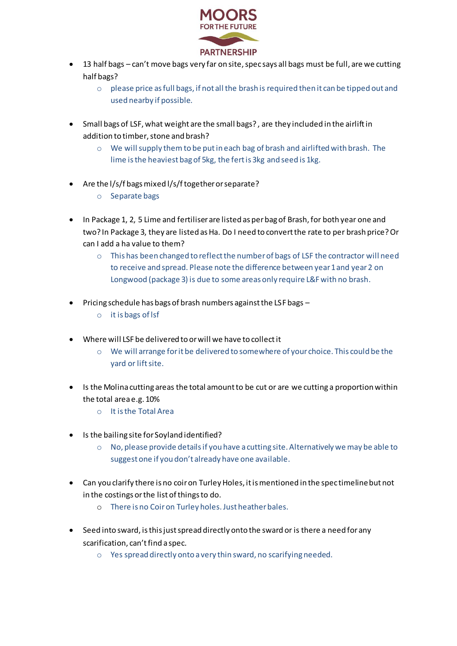

- 13 half bags can't move bags very far on site, spec says all bags must be full, are we cutting half bags?
	- $\circ$  please price as full bags, if not all the brash is required then it can be tipped out and used nearby if possible.
- Small bags of LSF, what weight are the small bags? , are they included in the airlift in addition to timber, stone and brash?
	- $\circ$  We will supply them to be put in each bag of brash and airlifted with brash. The lime is the heaviest bag of 5kg, the fert is 3kg and seed is 1kg.
- Are the l/s/f bags mixed l/s/f together or separate?
	- o Separate bags
- In Package 1, 2, 5 Lime and fertiliser are listed as per bag of Brash, for both year one and two? In Package 3, they are listed as Ha. Do I need to convert the rate to per brash price? Or can I add a ha value to them?
	- o This has been changed to reflect the number of bags of LSF the contractor will need to receive and spread. Please note the difference between year 1 and year 2 on Longwood (package 3) is due to some areas only require L&F with no brash.
- Pricing schedule has bags of brash numbers against the LSF bags
	- o it is bags of lsf
- Where will LSF be delivered to or will we have to collect it
	- o We will arrange for it be delivered to somewhere of your choice. This could be the yard or lift site.
- Is the Molina cutting areas the total amount to be cut or are we cutting a proportion within the total area e.g. 10%
	- o It is the Total Area
- Is the bailing site for Soyland identified?
	- $\circ$  No, please provide details if you have a cutting site. Alternatively we may be able to suggest one if you don't already have one available.
- Can you clarify there is no coir on Turley Holes, it is mentioned in the spec timeline but not in the costings or the list of things to do.
	- o There is no Coir on Turley holes. Just heather bales.
- Seed into sward, is this just spread directly onto the sward or is there a need for any scarification, can't find a spec.
	- o Yes spread directly onto a very thin sward, no scarifying needed.